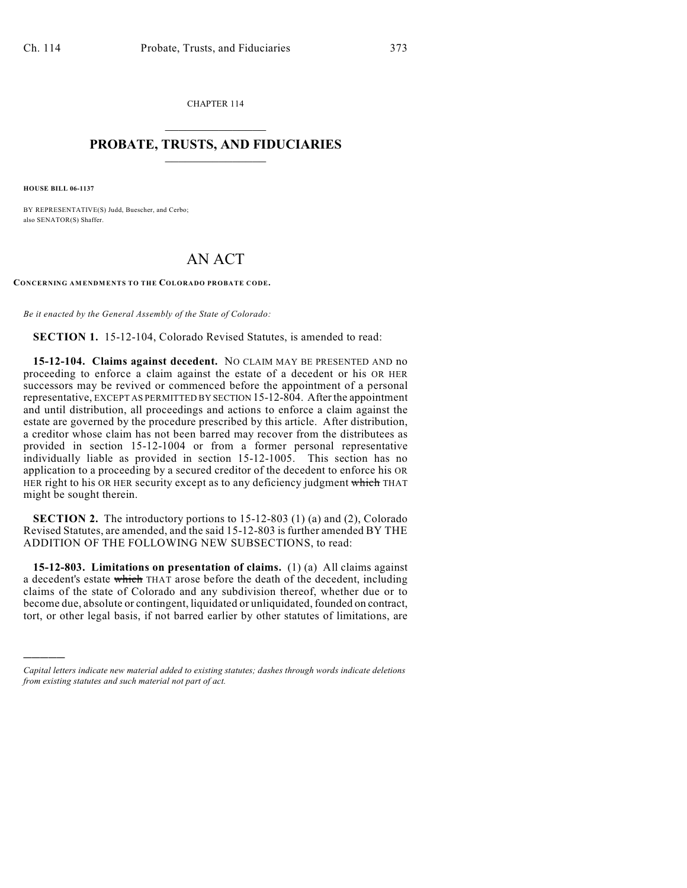CHAPTER 114  $\overline{\phantom{a}}$  . The set of the set of the set of the set of the set of the set of the set of the set of the set of the set of the set of the set of the set of the set of the set of the set of the set of the set of the set o

## **PROBATE, TRUSTS, AND FIDUCIARIES**  $\overline{\phantom{a}}$

**HOUSE BILL 06-1137**

)))))

BY REPRESENTATIVE(S) Judd, Buescher, and Cerbo; also SENATOR(S) Shaffer.

## AN ACT

**CONCERNING AMENDMENTS TO THE COLORADO PROBATE CODE.**

*Be it enacted by the General Assembly of the State of Colorado:*

**SECTION 1.** 15-12-104, Colorado Revised Statutes, is amended to read:

**15-12-104. Claims against decedent.** NO CLAIM MAY BE PRESENTED AND no proceeding to enforce a claim against the estate of a decedent or his OR HER successors may be revived or commenced before the appointment of a personal representative, EXCEPT AS PERMITTED BY SECTION 15-12-804. After the appointment and until distribution, all proceedings and actions to enforce a claim against the estate are governed by the procedure prescribed by this article. After distribution, a creditor whose claim has not been barred may recover from the distributees as provided in section 15-12-1004 or from a former personal representative individually liable as provided in section 15-12-1005. This section has no application to a proceeding by a secured creditor of the decedent to enforce his OR HER right to his OR HER security except as to any deficiency judgment which THAT might be sought therein.

**SECTION 2.** The introductory portions to 15-12-803 (1) (a) and (2), Colorado Revised Statutes, are amended, and the said 15-12-803 is further amended BY THE ADDITION OF THE FOLLOWING NEW SUBSECTIONS, to read:

**15-12-803. Limitations on presentation of claims.** (1) (a) All claims against a decedent's estate which THAT arose before the death of the decedent, including claims of the state of Colorado and any subdivision thereof, whether due or to become due, absolute or contingent, liquidated or unliquidated, founded on contract, tort, or other legal basis, if not barred earlier by other statutes of limitations, are

*Capital letters indicate new material added to existing statutes; dashes through words indicate deletions from existing statutes and such material not part of act.*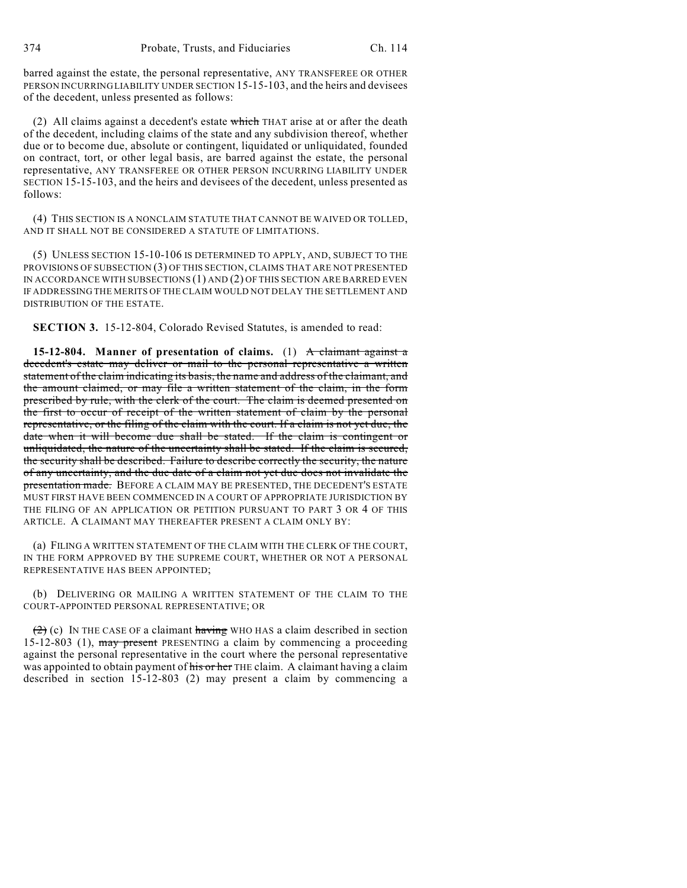barred against the estate, the personal representative, ANY TRANSFEREE OR OTHER PERSON INCURRING LIABILITY UNDER SECTION 15-15-103, and the heirs and devisees of the decedent, unless presented as follows:

(2) All claims against a decedent's estate which THAT arise at or after the death of the decedent, including claims of the state and any subdivision thereof, whether due or to become due, absolute or contingent, liquidated or unliquidated, founded on contract, tort, or other legal basis, are barred against the estate, the personal representative, ANY TRANSFEREE OR OTHER PERSON INCURRING LIABILITY UNDER SECTION 15-15-103, and the heirs and devisees of the decedent, unless presented as follows:

(4) THIS SECTION IS A NONCLAIM STATUTE THAT CANNOT BE WAIVED OR TOLLED, AND IT SHALL NOT BE CONSIDERED A STATUTE OF LIMITATIONS.

(5) UNLESS SECTION 15-10-106 IS DETERMINED TO APPLY, AND, SUBJECT TO THE PROVISIONS OF SUBSECTION (3) OF THIS SECTION, CLAIMS THAT ARE NOT PRESENTED IN ACCORDANCE WITH SUBSECTIONS (1) AND (2) OF THIS SECTION ARE BARRED EVEN IF ADDRESSING THE MERITS OF THE CLAIM WOULD NOT DELAY THE SETTLEMENT AND DISTRIBUTION OF THE ESTATE.

**SECTION 3.** 15-12-804, Colorado Revised Statutes, is amended to read:

**15-12-804. Manner of presentation of claims.** (1) A claimant against a decedent's estate may deliver or mail to the personal representative a written statement of the claim indicating its basis, the name and address of the claimant, and the amount claimed, or may file a written statement of the claim, in the form prescribed by rule, with the clerk of the court. The claim is deemed presented on the first to occur of receipt of the written statement of claim by the personal representative, or the filing of the claim with the court. If a claim is not yet due, the date when it will become due shall be stated. If the claim is contingent or unliquidated, the nature of the uncertainty shall be stated. If the claim is secured, the security shall be described. Failure to describe correctly the security, the nature of any uncertainty, and the due date of a claim not yet due does not invalidate the presentation made. BEFORE A CLAIM MAY BE PRESENTED, THE DECEDENT'S ESTATE MUST FIRST HAVE BEEN COMMENCED IN A COURT OF APPROPRIATE JURISDICTION BY THE FILING OF AN APPLICATION OR PETITION PURSUANT TO PART 3 OR 4 OF THIS ARTICLE. A CLAIMANT MAY THEREAFTER PRESENT A CLAIM ONLY BY:

(a) FILING A WRITTEN STATEMENT OF THE CLAIM WITH THE CLERK OF THE COURT, IN THE FORM APPROVED BY THE SUPREME COURT, WHETHER OR NOT A PERSONAL REPRESENTATIVE HAS BEEN APPOINTED;

(b) DELIVERING OR MAILING A WRITTEN STATEMENT OF THE CLAIM TO THE COURT-APPOINTED PERSONAL REPRESENTATIVE; OR

 $(2)$  (c) IN THE CASE OF a claimant having WHO HAS a claim described in section 15-12-803 (1), may present PRESENTING a claim by commencing a proceeding against the personal representative in the court where the personal representative was appointed to obtain payment of his or her THE claim. A claimant having a claim described in section 15-12-803 (2) may present a claim by commencing a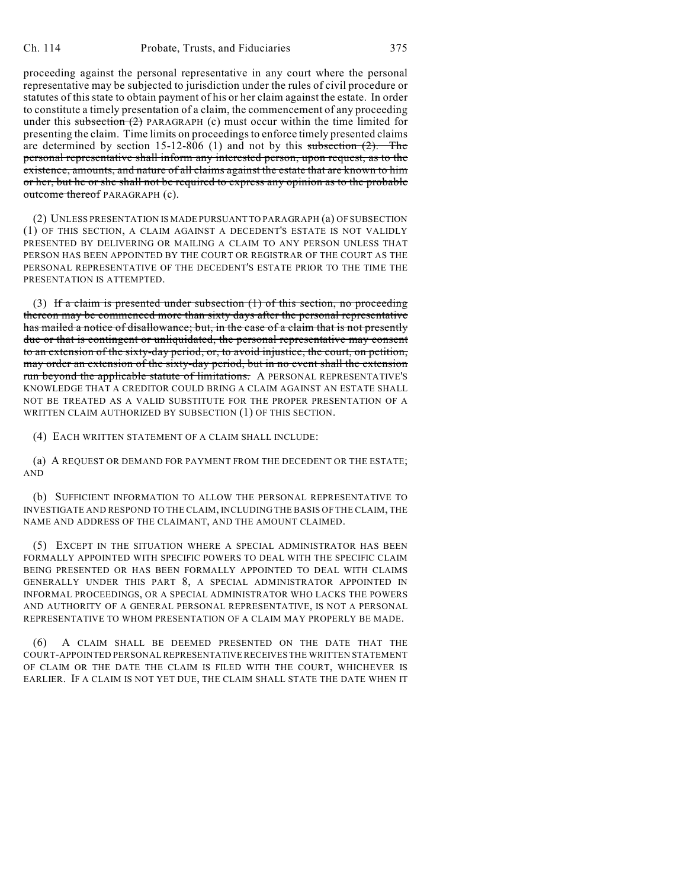proceeding against the personal representative in any court where the personal representative may be subjected to jurisdiction under the rules of civil procedure or statutes of this state to obtain payment of his or her claim against the estate. In order to constitute a timely presentation of a claim, the commencement of any proceeding under this subsection  $(2)$  PARAGRAPH (c) must occur within the time limited for presenting the claim. Time limits on proceedings to enforce timely presented claims are determined by section 15-12-806 (1) and not by this subsection  $(2)$ . The personal representative shall inform any interested person, upon request, as to the existence, amounts, and nature of all claims against the estate that are known to him or her, but he or she shall not be required to express any opinion as to the probable outcome thereof PARAGRAPH (c).

(2) UNLESS PRESENTATION IS MADE PURSUANT TO PARAGRAPH (a) OF SUBSECTION (1) OF THIS SECTION, A CLAIM AGAINST A DECEDENT'S ESTATE IS NOT VALIDLY PRESENTED BY DELIVERING OR MAILING A CLAIM TO ANY PERSON UNLESS THAT PERSON HAS BEEN APPOINTED BY THE COURT OR REGISTRAR OF THE COURT AS THE PERSONAL REPRESENTATIVE OF THE DECEDENT'S ESTATE PRIOR TO THE TIME THE PRESENTATION IS ATTEMPTED.

(3) If a claim is presented under subsection  $(1)$  of this section, no proceeding thereon may be commenced more than sixty days after the personal representative has mailed a notice of disallowance; but, in the case of a claim that is not presently due or that is contingent or unliquidated, the personal representative may consent to an extension of the sixty-day period, or, to avoid injustice, the court, on petition, may order an extension of the sixty-day period, but in no event shall the extension run beyond the applicable statute of limitations. A PERSONAL REPRESENTATIVE'S KNOWLEDGE THAT A CREDITOR COULD BRING A CLAIM AGAINST AN ESTATE SHALL NOT BE TREATED AS A VALID SUBSTITUTE FOR THE PROPER PRESENTATION OF A WRITTEN CLAIM AUTHORIZED BY SUBSECTION (1) OF THIS SECTION.

(4) EACH WRITTEN STATEMENT OF A CLAIM SHALL INCLUDE:

(a) A REQUEST OR DEMAND FOR PAYMENT FROM THE DECEDENT OR THE ESTATE; AND

(b) SUFFICIENT INFORMATION TO ALLOW THE PERSONAL REPRESENTATIVE TO INVESTIGATE AND RESPOND TO THE CLAIM, INCLUDING THE BASIS OF THE CLAIM, THE NAME AND ADDRESS OF THE CLAIMANT, AND THE AMOUNT CLAIMED.

(5) EXCEPT IN THE SITUATION WHERE A SPECIAL ADMINISTRATOR HAS BEEN FORMALLY APPOINTED WITH SPECIFIC POWERS TO DEAL WITH THE SPECIFIC CLAIM BEING PRESENTED OR HAS BEEN FORMALLY APPOINTED TO DEAL WITH CLAIMS GENERALLY UNDER THIS PART 8, A SPECIAL ADMINISTRATOR APPOINTED IN INFORMAL PROCEEDINGS, OR A SPECIAL ADMINISTRATOR WHO LACKS THE POWERS AND AUTHORITY OF A GENERAL PERSONAL REPRESENTATIVE, IS NOT A PERSONAL REPRESENTATIVE TO WHOM PRESENTATION OF A CLAIM MAY PROPERLY BE MADE.

(6) A CLAIM SHALL BE DEEMED PRESENTED ON THE DATE THAT THE COURT-APPOINTED PERSONAL REPRESENTATIVE RECEIVES THE WRITTEN STATEMENT OF CLAIM OR THE DATE THE CLAIM IS FILED WITH THE COURT, WHICHEVER IS EARLIER. IF A CLAIM IS NOT YET DUE, THE CLAIM SHALL STATE THE DATE WHEN IT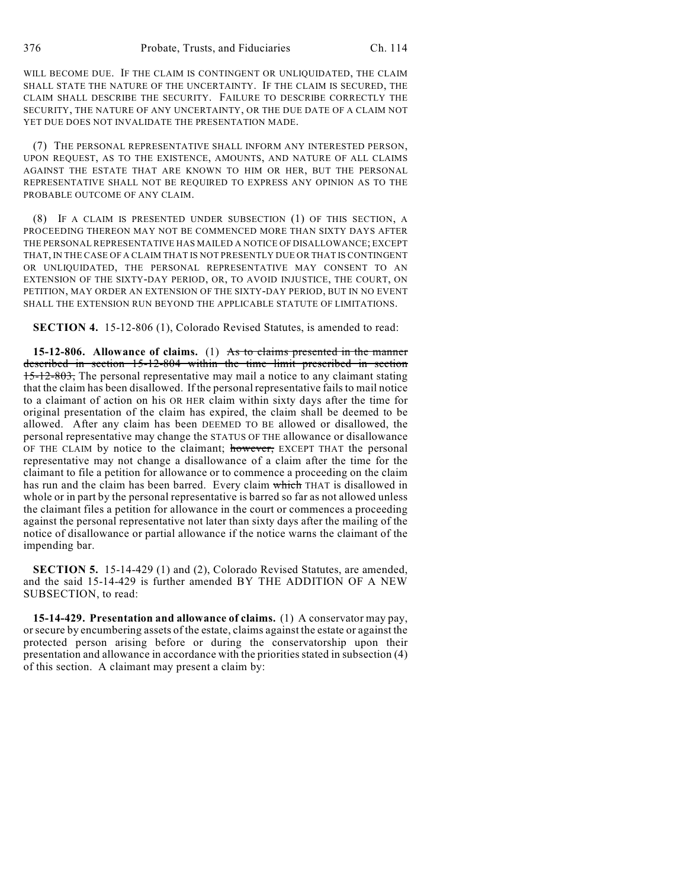WILL BECOME DUE. IF THE CLAIM IS CONTINGENT OR UNLIQUIDATED, THE CLAIM SHALL STATE THE NATURE OF THE UNCERTAINTY. IF THE CLAIM IS SECURED, THE CLAIM SHALL DESCRIBE THE SECURITY. FAILURE TO DESCRIBE CORRECTLY THE SECURITY, THE NATURE OF ANY UNCERTAINTY, OR THE DUE DATE OF A CLAIM NOT YET DUE DOES NOT INVALIDATE THE PRESENTATION MADE.

(7) THE PERSONAL REPRESENTATIVE SHALL INFORM ANY INTERESTED PERSON, UPON REQUEST, AS TO THE EXISTENCE, AMOUNTS, AND NATURE OF ALL CLAIMS AGAINST THE ESTATE THAT ARE KNOWN TO HIM OR HER, BUT THE PERSONAL REPRESENTATIVE SHALL NOT BE REQUIRED TO EXPRESS ANY OPINION AS TO THE PROBABLE OUTCOME OF ANY CLAIM.

(8) IF A CLAIM IS PRESENTED UNDER SUBSECTION (1) OF THIS SECTION, A PROCEEDING THEREON MAY NOT BE COMMENCED MORE THAN SIXTY DAYS AFTER THE PERSONAL REPRESENTATIVE HAS MAILED A NOTICE OF DISALLOWANCE; EXCEPT THAT, IN THE CASE OF A CLAIM THAT IS NOT PRESENTLY DUE OR THAT IS CONTINGENT OR UNLIQUIDATED, THE PERSONAL REPRESENTATIVE MAY CONSENT TO AN EXTENSION OF THE SIXTY-DAY PERIOD, OR, TO AVOID INJUSTICE, THE COURT, ON PETITION, MAY ORDER AN EXTENSION OF THE SIXTY-DAY PERIOD, BUT IN NO EVENT SHALL THE EXTENSION RUN BEYOND THE APPLICABLE STATUTE OF LIMITATIONS.

**SECTION 4.** 15-12-806 (1), Colorado Revised Statutes, is amended to read:

**15-12-806. Allowance of claims.** (1) As to claims presented in the manner described in section 15-12-804 within the time limit prescribed in section 15-12-803, The personal representative may mail a notice to any claimant stating that the claim has been disallowed. If the personal representative fails to mail notice to a claimant of action on his OR HER claim within sixty days after the time for original presentation of the claim has expired, the claim shall be deemed to be allowed. After any claim has been DEEMED TO BE allowed or disallowed, the personal representative may change the STATUS OF THE allowance or disallowance OF THE CLAIM by notice to the claimant; however, EXCEPT THAT the personal representative may not change a disallowance of a claim after the time for the claimant to file a petition for allowance or to commence a proceeding on the claim has run and the claim has been barred. Every claim which THAT is disallowed in whole or in part by the personal representative is barred so far as not allowed unless the claimant files a petition for allowance in the court or commences a proceeding against the personal representative not later than sixty days after the mailing of the notice of disallowance or partial allowance if the notice warns the claimant of the impending bar.

**SECTION 5.** 15-14-429 (1) and (2), Colorado Revised Statutes, are amended, and the said 15-14-429 is further amended BY THE ADDITION OF A NEW SUBSECTION, to read:

**15-14-429. Presentation and allowance of claims.** (1) A conservator may pay, or secure by encumbering assets of the estate, claims against the estate or against the protected person arising before or during the conservatorship upon their presentation and allowance in accordance with the priorities stated in subsection (4) of this section. A claimant may present a claim by: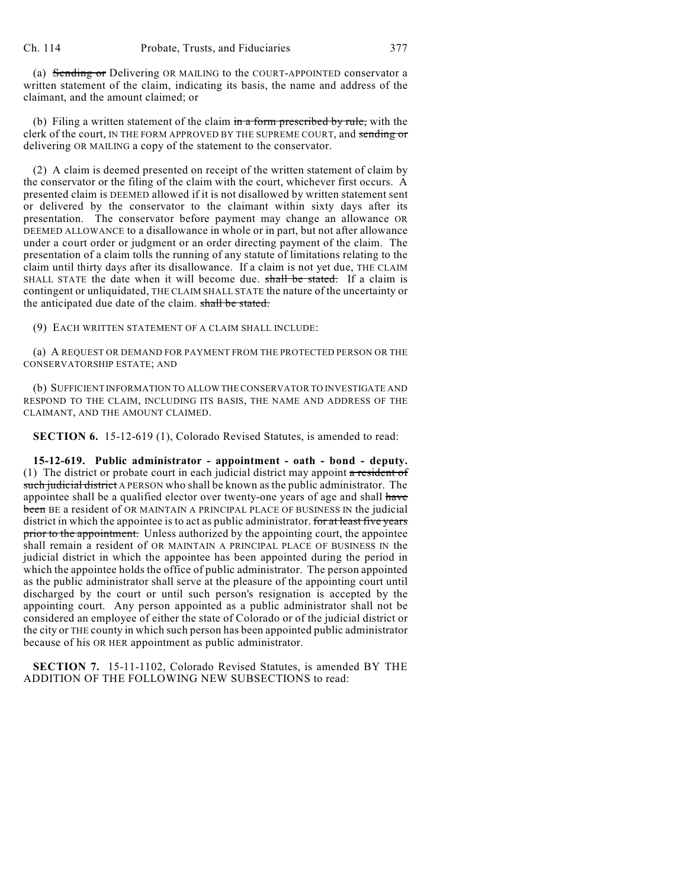(a) Sending or Delivering OR MAILING to the COURT-APPOINTED conservator a written statement of the claim, indicating its basis, the name and address of the claimant, and the amount claimed; or

(b) Filing a written statement of the claim  $\frac{1}{2}$  form prescribed by rule, with the clerk of the court, IN THE FORM APPROVED BY THE SUPREME COURT, and sending or delivering OR MAILING a copy of the statement to the conservator.

(2) A claim is deemed presented on receipt of the written statement of claim by the conservator or the filing of the claim with the court, whichever first occurs. A presented claim is DEEMED allowed if it is not disallowed by written statement sent or delivered by the conservator to the claimant within sixty days after its presentation. The conservator before payment may change an allowance OR DEEMED ALLOWANCE to a disallowance in whole or in part, but not after allowance under a court order or judgment or an order directing payment of the claim. The presentation of a claim tolls the running of any statute of limitations relating to the claim until thirty days after its disallowance. If a claim is not yet due, THE CLAIM SHALL STATE the date when it will become due. shall be stated. If a claim is contingent or unliquidated, THE CLAIM SHALL STATE the nature of the uncertainty or the anticipated due date of the claim. shall be stated.

(9) EACH WRITTEN STATEMENT OF A CLAIM SHALL INCLUDE:

(a) A REQUEST OR DEMAND FOR PAYMENT FROM THE PROTECTED PERSON OR THE CONSERVATORSHIP ESTATE; AND

(b) SUFFICIENT INFORMATION TO ALLOW THE CONSERVATOR TO INVESTIGATE AND RESPOND TO THE CLAIM, INCLUDING ITS BASIS, THE NAME AND ADDRESS OF THE CLAIMANT, AND THE AMOUNT CLAIMED.

**SECTION 6.** 15-12-619 (1), Colorado Revised Statutes, is amended to read:

**15-12-619. Public administrator - appointment - oath - bond - deputy.** (1) The district or probate court in each judicial district may appoint a resident of such judicial district A PERSON who shall be known as the public administrator. The appointee shall be a qualified elector over twenty-one years of age and shall have been BE a resident of OR MAINTAIN A PRINCIPAL PLACE OF BUSINESS IN the judicial district in which the appointee is to act as public administrator. for at least five years prior to the appointment. Unless authorized by the appointing court, the appointee shall remain a resident of OR MAINTAIN A PRINCIPAL PLACE OF BUSINESS IN the judicial district in which the appointee has been appointed during the period in which the appointee holds the office of public administrator. The person appointed as the public administrator shall serve at the pleasure of the appointing court until discharged by the court or until such person's resignation is accepted by the appointing court. Any person appointed as a public administrator shall not be considered an employee of either the state of Colorado or of the judicial district or the city or THE county in which such person has been appointed public administrator because of his OR HER appointment as public administrator.

**SECTION 7.** 15-11-1102, Colorado Revised Statutes, is amended BY THE ADDITION OF THE FOLLOWING NEW SUBSECTIONS to read: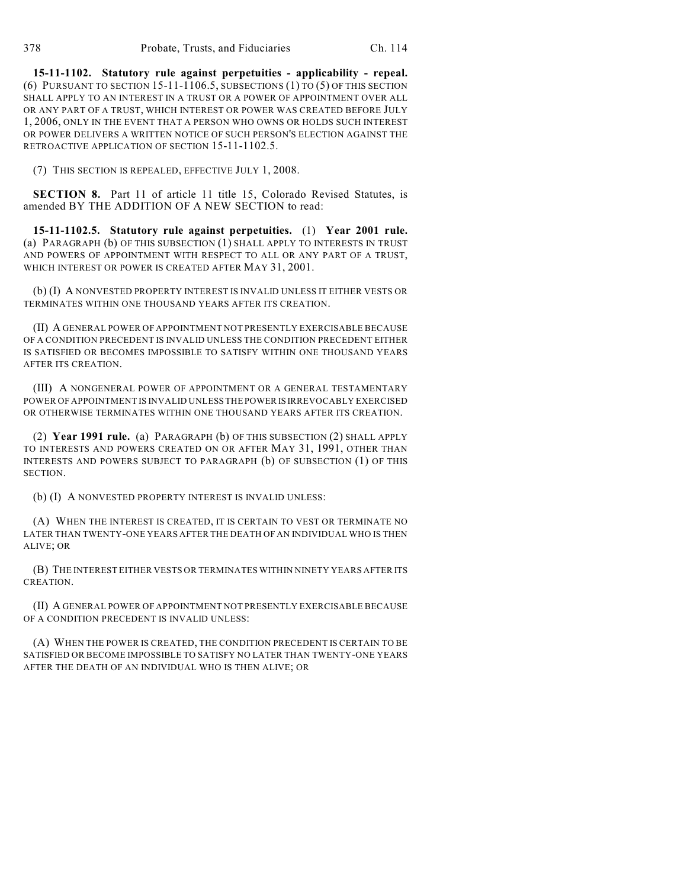**15-11-1102. Statutory rule against perpetuities - applicability - repeal.** (6) PURSUANT TO SECTION 15-11-1106.5, SUBSECTIONS (1) TO (5) OF THIS SECTION SHALL APPLY TO AN INTEREST IN A TRUST OR A POWER OF APPOINTMENT OVER ALL OR ANY PART OF A TRUST, WHICH INTEREST OR POWER WAS CREATED BEFORE JULY 1, 2006, ONLY IN THE EVENT THAT A PERSON WHO OWNS OR HOLDS SUCH INTEREST OR POWER DELIVERS A WRITTEN NOTICE OF SUCH PERSON'S ELECTION AGAINST THE RETROACTIVE APPLICATION OF SECTION 15-11-1102.5.

(7) THIS SECTION IS REPEALED, EFFECTIVE JULY 1, 2008.

**SECTION 8.** Part 11 of article 11 title 15, Colorado Revised Statutes, is amended BY THE ADDITION OF A NEW SECTION to read:

**15-11-1102.5. Statutory rule against perpetuities.** (1) **Year 2001 rule.** (a) PARAGRAPH (b) OF THIS SUBSECTION (1) SHALL APPLY TO INTERESTS IN TRUST AND POWERS OF APPOINTMENT WITH RESPECT TO ALL OR ANY PART OF A TRUST, WHICH INTEREST OR POWER IS CREATED AFTER MAY 31, 2001.

(b) (I) A NONVESTED PROPERTY INTEREST IS INVALID UNLESS IT EITHER VESTS OR TERMINATES WITHIN ONE THOUSAND YEARS AFTER ITS CREATION.

(II) A GENERAL POWER OF APPOINTMENT NOT PRESENTLY EXERCISABLE BECAUSE OF A CONDITION PRECEDENT IS INVALID UNLESS THE CONDITION PRECEDENT EITHER IS SATISFIED OR BECOMES IMPOSSIBLE TO SATISFY WITHIN ONE THOUSAND YEARS AFTER ITS CREATION.

(III) A NONGENERAL POWER OF APPOINTMENT OR A GENERAL TESTAMENTARY POWER OF APPOINTMENT IS INVALID UNLESS THE POWER IS IRREVOCABLY EXERCISED OR OTHERWISE TERMINATES WITHIN ONE THOUSAND YEARS AFTER ITS CREATION.

(2) **Year 1991 rule.** (a) PARAGRAPH (b) OF THIS SUBSECTION (2) SHALL APPLY TO INTERESTS AND POWERS CREATED ON OR AFTER MAY 31, 1991, OTHER THAN INTERESTS AND POWERS SUBJECT TO PARAGRAPH (b) OF SUBSECTION (1) OF THIS SECTION.

(b) (I) A NONVESTED PROPERTY INTEREST IS INVALID UNLESS:

(A) WHEN THE INTEREST IS CREATED, IT IS CERTAIN TO VEST OR TERMINATE NO LATER THAN TWENTY-ONE YEARS AFTER THE DEATH OF AN INDIVIDUAL WHO IS THEN ALIVE; OR

(B) THE INTEREST EITHER VESTS OR TERMINATES WITHIN NINETY YEARS AFTER ITS CREATION.

(II) A GENERAL POWER OF APPOINTMENT NOT PRESENTLY EXERCISABLE BECAUSE OF A CONDITION PRECEDENT IS INVALID UNLESS:

(A) WHEN THE POWER IS CREATED, THE CONDITION PRECEDENT IS CERTAIN TO BE SATISFIED OR BECOME IMPOSSIBLE TO SATISFY NO LATER THAN TWENTY-ONE YEARS AFTER THE DEATH OF AN INDIVIDUAL WHO IS THEN ALIVE; OR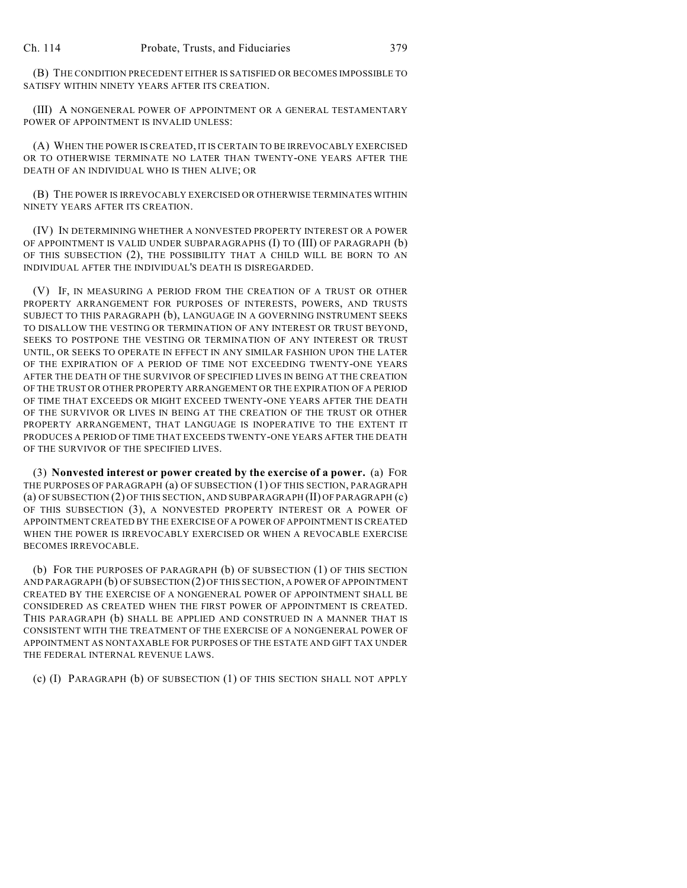(B) THE CONDITION PRECEDENT EITHER IS SATISFIED OR BECOMES IMPOSSIBLE TO SATISFY WITHIN NINETY YEARS AFTER ITS CREATION.

(III) A NONGENERAL POWER OF APPOINTMENT OR A GENERAL TESTAMENTARY POWER OF APPOINTMENT IS INVALID UNLESS:

(A) WHEN THE POWER IS CREATED, IT IS CERTAIN TO BE IRREVOCABLY EXERCISED OR TO OTHERWISE TERMINATE NO LATER THAN TWENTY-ONE YEARS AFTER THE DEATH OF AN INDIVIDUAL WHO IS THEN ALIVE; OR

(B) THE POWER IS IRREVOCABLY EXERCISED OR OTHERWISE TERMINATES WITHIN NINETY YEARS AFTER ITS CREATION.

(IV) IN DETERMINING WHETHER A NONVESTED PROPERTY INTEREST OR A POWER OF APPOINTMENT IS VALID UNDER SUBPARAGRAPHS (I) TO (III) OF PARAGRAPH (b) OF THIS SUBSECTION (2), THE POSSIBILITY THAT A CHILD WILL BE BORN TO AN INDIVIDUAL AFTER THE INDIVIDUAL'S DEATH IS DISREGARDED.

(V) IF, IN MEASURING A PERIOD FROM THE CREATION OF A TRUST OR OTHER PROPERTY ARRANGEMENT FOR PURPOSES OF INTERESTS, POWERS, AND TRUSTS SUBJECT TO THIS PARAGRAPH (b), LANGUAGE IN A GOVERNING INSTRUMENT SEEKS TO DISALLOW THE VESTING OR TERMINATION OF ANY INTEREST OR TRUST BEYOND, SEEKS TO POSTPONE THE VESTING OR TERMINATION OF ANY INTEREST OR TRUST UNTIL, OR SEEKS TO OPERATE IN EFFECT IN ANY SIMILAR FASHION UPON THE LATER OF THE EXPIRATION OF A PERIOD OF TIME NOT EXCEEDING TWENTY-ONE YEARS AFTER THE DEATH OF THE SURVIVOR OF SPECIFIED LIVES IN BEING AT THE CREATION OF THE TRUST OR OTHER PROPERTY ARRANGEMENT OR THE EXPIRATION OF A PERIOD OF TIME THAT EXCEEDS OR MIGHT EXCEED TWENTY-ONE YEARS AFTER THE DEATH OF THE SURVIVOR OR LIVES IN BEING AT THE CREATION OF THE TRUST OR OTHER PROPERTY ARRANGEMENT, THAT LANGUAGE IS INOPERATIVE TO THE EXTENT IT PRODUCES A PERIOD OF TIME THAT EXCEEDS TWENTY-ONE YEARS AFTER THE DEATH OF THE SURVIVOR OF THE SPECIFIED LIVES.

(3) **Nonvested interest or power created by the exercise of a power.** (a) FOR THE PURPOSES OF PARAGRAPH (a) OF SUBSECTION (1) OF THIS SECTION, PARAGRAPH (a) OF SUBSECTION (2) OF THIS SECTION, AND SUBPARAGRAPH (II) OF PARAGRAPH (c) OF THIS SUBSECTION (3), A NONVESTED PROPERTY INTEREST OR A POWER OF APPOINTMENT CREATED BY THE EXERCISE OF A POWER OF APPOINTMENT IS CREATED WHEN THE POWER IS IRREVOCABLY EXERCISED OR WHEN A REVOCABLE EXERCISE BECOMES IRREVOCABLE.

(b) FOR THE PURPOSES OF PARAGRAPH (b) OF SUBSECTION (1) OF THIS SECTION AND PARAGRAPH (b) OF SUBSECTION (2) OF THIS SECTION, A POWER OF APPOINTMENT CREATED BY THE EXERCISE OF A NONGENERAL POWER OF APPOINTMENT SHALL BE CONSIDERED AS CREATED WHEN THE FIRST POWER OF APPOINTMENT IS CREATED. THIS PARAGRAPH (b) SHALL BE APPLIED AND CONSTRUED IN A MANNER THAT IS CONSISTENT WITH THE TREATMENT OF THE EXERCISE OF A NONGENERAL POWER OF APPOINTMENT AS NONTAXABLE FOR PURPOSES OF THE ESTATE AND GIFT TAX UNDER THE FEDERAL INTERNAL REVENUE LAWS.

(c) (I) PARAGRAPH (b) OF SUBSECTION (1) OF THIS SECTION SHALL NOT APPLY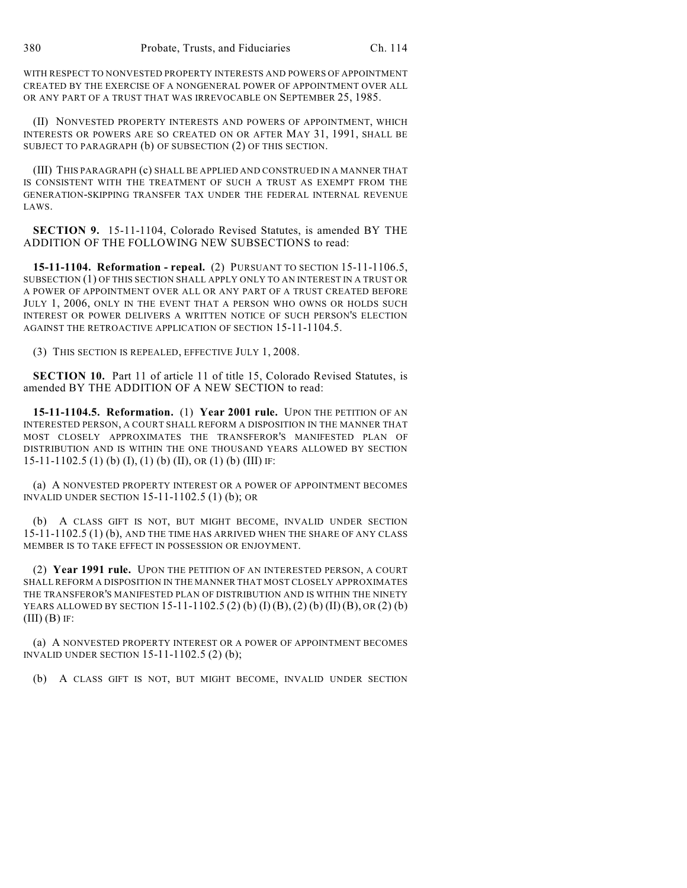WITH RESPECT TO NONVESTED PROPERTY INTERESTS AND POWERS OF APPOINTMENT CREATED BY THE EXERCISE OF A NONGENERAL POWER OF APPOINTMENT OVER ALL OR ANY PART OF A TRUST THAT WAS IRREVOCABLE ON SEPTEMBER 25, 1985.

(II) NONVESTED PROPERTY INTERESTS AND POWERS OF APPOINTMENT, WHICH INTERESTS OR POWERS ARE SO CREATED ON OR AFTER MAY 31, 1991, SHALL BE SUBJECT TO PARAGRAPH (b) OF SUBSECTION (2) OF THIS SECTION.

(III) THIS PARAGRAPH (c) SHALL BE APPLIED AND CONSTRUED IN A MANNER THAT IS CONSISTENT WITH THE TREATMENT OF SUCH A TRUST AS EXEMPT FROM THE GENERATION-SKIPPING TRANSFER TAX UNDER THE FEDERAL INTERNAL REVENUE LAWS.

**SECTION 9.** 15-11-1104, Colorado Revised Statutes, is amended BY THE ADDITION OF THE FOLLOWING NEW SUBSECTIONS to read:

**15-11-1104. Reformation - repeal.** (2) PURSUANT TO SECTION 15-11-1106.5, SUBSECTION (1) OF THIS SECTION SHALL APPLY ONLY TO AN INTEREST IN A TRUST OR A POWER OF APPOINTMENT OVER ALL OR ANY PART OF A TRUST CREATED BEFORE JULY 1, 2006, ONLY IN THE EVENT THAT A PERSON WHO OWNS OR HOLDS SUCH INTEREST OR POWER DELIVERS A WRITTEN NOTICE OF SUCH PERSON'S ELECTION AGAINST THE RETROACTIVE APPLICATION OF SECTION 15-11-1104.5.

(3) THIS SECTION IS REPEALED, EFFECTIVE JULY 1, 2008.

**SECTION 10.** Part 11 of article 11 of title 15, Colorado Revised Statutes, is amended BY THE ADDITION OF A NEW SECTION to read:

**15-11-1104.5. Reformation.** (1) **Year 2001 rule.** UPON THE PETITION OF AN INTERESTED PERSON, A COURT SHALL REFORM A DISPOSITION IN THE MANNER THAT MOST CLOSELY APPROXIMATES THE TRANSFEROR'S MANIFESTED PLAN OF DISTRIBUTION AND IS WITHIN THE ONE THOUSAND YEARS ALLOWED BY SECTION 15-11-1102.5 (1) (b) (I), (1) (b) (II), OR (1) (b) (III) IF:

(a) A NONVESTED PROPERTY INTEREST OR A POWER OF APPOINTMENT BECOMES INVALID UNDER SECTION 15-11-1102.5 (1) (b); OR

(b) A CLASS GIFT IS NOT, BUT MIGHT BECOME, INVALID UNDER SECTION 15-11-1102.5 (1) (b), AND THE TIME HAS ARRIVED WHEN THE SHARE OF ANY CLASS MEMBER IS TO TAKE EFFECT IN POSSESSION OR ENJOYMENT.

(2) **Year 1991 rule.** UPON THE PETITION OF AN INTERESTED PERSON, A COURT SHALL REFORM A DISPOSITION IN THE MANNER THAT MOST CLOSELY APPROXIMATES THE TRANSFEROR'S MANIFESTED PLAN OF DISTRIBUTION AND IS WITHIN THE NINETY YEARS ALLOWED BY SECTION 15-11-1102.5 (2) (b) (I) (B), (2) (b) (II) (B), OR (2) (b)  $(III)$  $(B)$  IF:

(a) A NONVESTED PROPERTY INTEREST OR A POWER OF APPOINTMENT BECOMES INVALID UNDER SECTION 15-11-1102.5 (2) (b);

(b) A CLASS GIFT IS NOT, BUT MIGHT BECOME, INVALID UNDER SECTION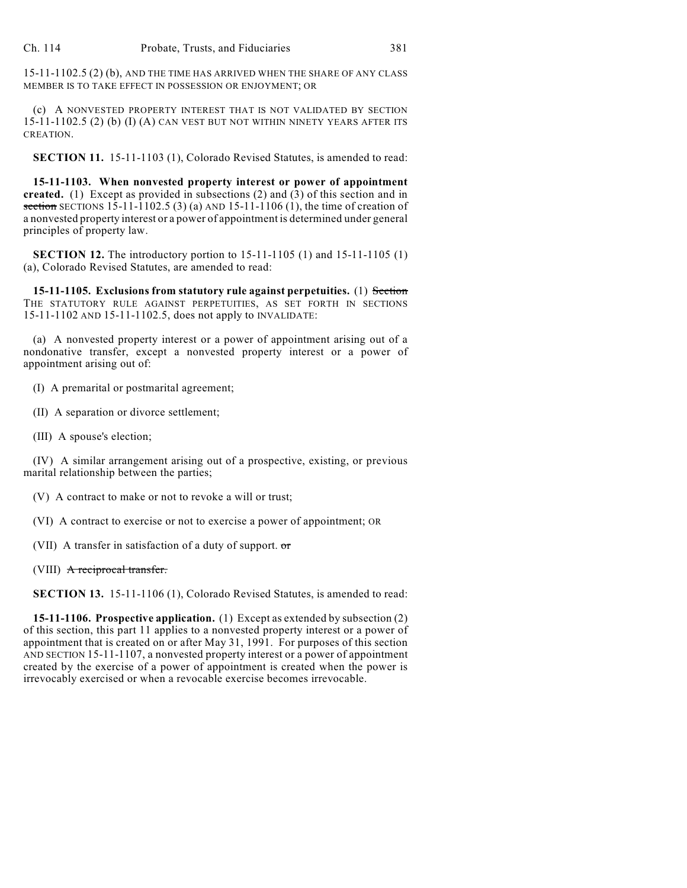15-11-1102.5 (2) (b), AND THE TIME HAS ARRIVED WHEN THE SHARE OF ANY CLASS MEMBER IS TO TAKE EFFECT IN POSSESSION OR ENJOYMENT; OR

(c) A NONVESTED PROPERTY INTEREST THAT IS NOT VALIDATED BY SECTION 15-11-1102.5 (2) (b) (I) (A) CAN VEST BUT NOT WITHIN NINETY YEARS AFTER ITS CREATION.

**SECTION 11.** 15-11-1103 (1), Colorado Revised Statutes, is amended to read:

**15-11-1103. When nonvested property interest or power of appointment created.** (1) Except as provided in subsections (2) and (3) of this section and in section SECTIONS 15-11-1102.5 (3) (a) AND 15-11-1106 (1), the time of creation of a nonvested property interest or a power of appointment is determined under general principles of property law.

**SECTION 12.** The introductory portion to 15-11-1105 (1) and 15-11-1105 (1) (a), Colorado Revised Statutes, are amended to read:

**15-11-1105. Exclusions from statutory rule against perpetuities.** (1) Section THE STATUTORY RULE AGAINST PERPETUITIES, AS SET FORTH IN SECTIONS 15-11-1102 AND 15-11-1102.5, does not apply to INVALIDATE:

(a) A nonvested property interest or a power of appointment arising out of a nondonative transfer, except a nonvested property interest or a power of appointment arising out of:

(I) A premarital or postmarital agreement;

(II) A separation or divorce settlement;

(III) A spouse's election;

(IV) A similar arrangement arising out of a prospective, existing, or previous marital relationship between the parties;

(V) A contract to make or not to revoke a will or trust;

(VI) A contract to exercise or not to exercise a power of appointment; OR

(VII) A transfer in satisfaction of a duty of support. or

(VIII) A reciprocal transfer.

**SECTION 13.** 15-11-1106 (1), Colorado Revised Statutes, is amended to read:

**15-11-1106. Prospective application.** (1) Except as extended by subsection (2) of this section, this part 11 applies to a nonvested property interest or a power of appointment that is created on or after May 31, 1991. For purposes of this section AND SECTION 15-11-1107, a nonvested property interest or a power of appointment created by the exercise of a power of appointment is created when the power is irrevocably exercised or when a revocable exercise becomes irrevocable.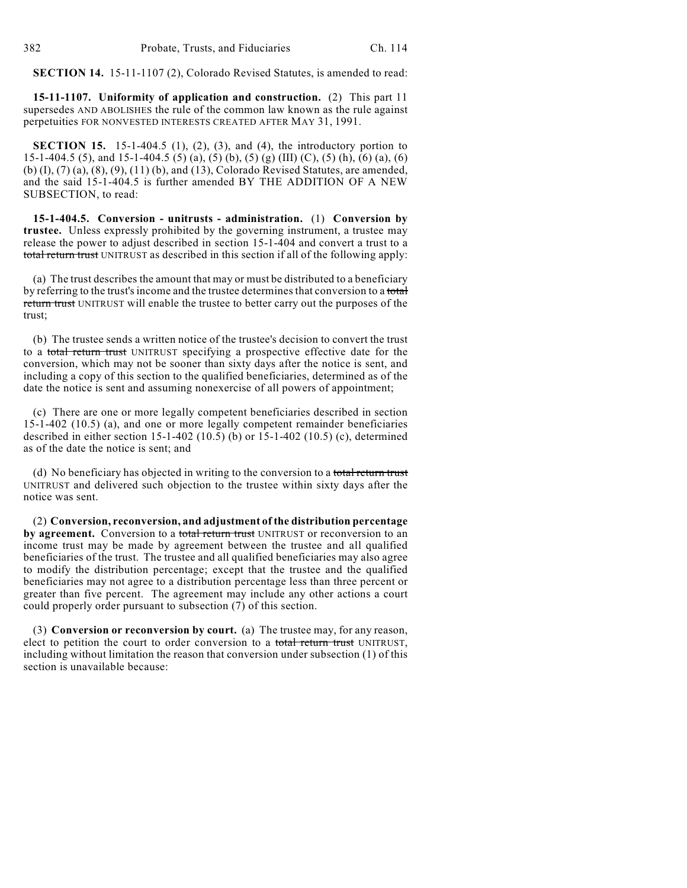**SECTION 14.** 15-11-1107 (2), Colorado Revised Statutes, is amended to read:

**15-11-1107. Uniformity of application and construction.** (2) This part 11 supersedes AND ABOLISHES the rule of the common law known as the rule against perpetuities FOR NONVESTED INTERESTS CREATED AFTER MAY 31, 1991.

**SECTION 15.** 15-1-404.5 (1), (2), (3), and (4), the introductory portion to 15-1-404.5 (5), and 15-1-404.5 (5) (a), (5) (b), (5) (g) (III) (C), (5) (h), (6) (a), (6) (b) (I), (7) (a), (8), (9), (11) (b), and (13), Colorado Revised Statutes, are amended, and the said 15-1-404.5 is further amended BY THE ADDITION OF A NEW SUBSECTION, to read:

**15-1-404.5. Conversion - unitrusts - administration.** (1) **Conversion by trustee.** Unless expressly prohibited by the governing instrument, a trustee may release the power to adjust described in section 15-1-404 and convert a trust to a total return trust UNITRUST as described in this section if all of the following apply:

(a) The trust describes the amount that may or must be distributed to a beneficiary by referring to the trust's income and the trustee determines that conversion to a total return trust UNITRUST will enable the trustee to better carry out the purposes of the trust;

(b) The trustee sends a written notice of the trustee's decision to convert the trust to a total return trust UNITRUST specifying a prospective effective date for the conversion, which may not be sooner than sixty days after the notice is sent, and including a copy of this section to the qualified beneficiaries, determined as of the date the notice is sent and assuming nonexercise of all powers of appointment;

(c) There are one or more legally competent beneficiaries described in section 15-1-402 (10.5) (a), and one or more legally competent remainder beneficiaries described in either section 15-1-402 (10.5) (b) or 15-1-402 (10.5) (c), determined as of the date the notice is sent; and

(d) No beneficiary has objected in writing to the conversion to a total return trust UNITRUST and delivered such objection to the trustee within sixty days after the notice was sent.

(2) **Conversion, reconversion, and adjustment of the distribution percentage** by agreement. Conversion to a total return trust UNITRUST or reconversion to an income trust may be made by agreement between the trustee and all qualified beneficiaries of the trust. The trustee and all qualified beneficiaries may also agree to modify the distribution percentage; except that the trustee and the qualified beneficiaries may not agree to a distribution percentage less than three percent or greater than five percent. The agreement may include any other actions a court could properly order pursuant to subsection (7) of this section.

(3) **Conversion or reconversion by court.** (a) The trustee may, for any reason, elect to petition the court to order conversion to a total return trust UNITRUST, including without limitation the reason that conversion under subsection (1) of this section is unavailable because: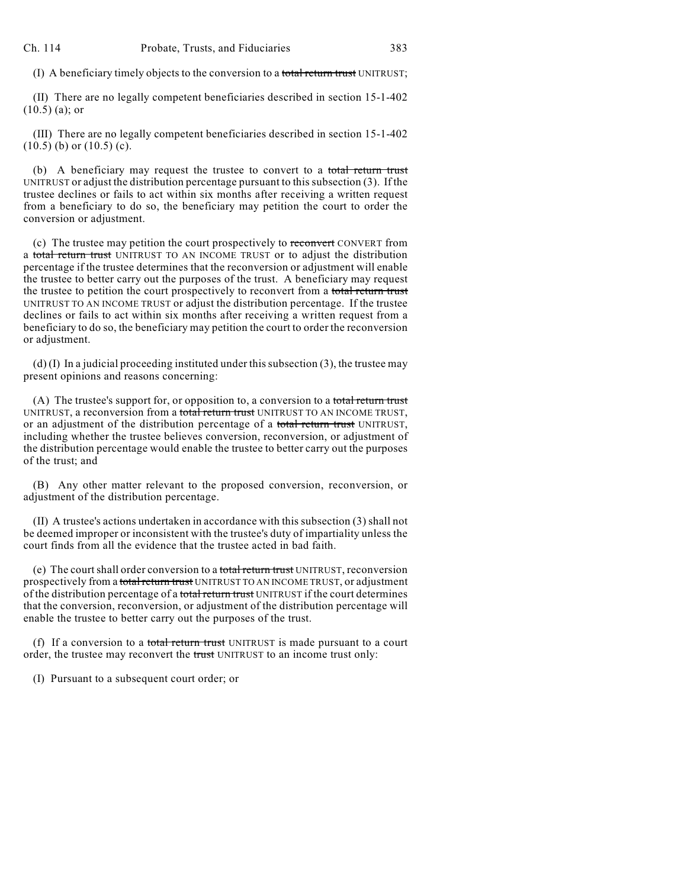(I) A beneficiary timely objects to the conversion to a total return trust UNITRUST;

(II) There are no legally competent beneficiaries described in section 15-1-402 (10.5) (a); or

(III) There are no legally competent beneficiaries described in section 15-1-402  $(10.5)$  (b) or  $(10.5)$  (c).

(b) A beneficiary may request the trustee to convert to a total return trust UNITRUST or adjust the distribution percentage pursuant to this subsection (3). If the trustee declines or fails to act within six months after receiving a written request from a beneficiary to do so, the beneficiary may petition the court to order the conversion or adjustment.

(c) The trustee may petition the court prospectively to reconvert CONVERT from a total return trust UNITRUST TO AN INCOME TRUST or to adjust the distribution percentage if the trustee determines that the reconversion or adjustment will enable the trustee to better carry out the purposes of the trust. A beneficiary may request the trustee to petition the court prospectively to reconvert from a total return trust UNITRUST TO AN INCOME TRUST or adjust the distribution percentage. If the trustee declines or fails to act within six months after receiving a written request from a beneficiary to do so, the beneficiary may petition the court to order the reconversion or adjustment.

(d) (I) In a judicial proceeding instituted under this subsection (3), the trustee may present opinions and reasons concerning:

(A) The trustee's support for, or opposition to, a conversion to a total return trust UNITRUST, a reconversion from a total return trust UNITRUST TO AN INCOME TRUST, or an adjustment of the distribution percentage of a total return trust UNITRUST, including whether the trustee believes conversion, reconversion, or adjustment of the distribution percentage would enable the trustee to better carry out the purposes of the trust; and

(B) Any other matter relevant to the proposed conversion, reconversion, or adjustment of the distribution percentage.

(II) A trustee's actions undertaken in accordance with this subsection (3) shall not be deemed improper or inconsistent with the trustee's duty of impartiality unless the court finds from all the evidence that the trustee acted in bad faith.

(e) The court shall order conversion to a total return trust UNITRUST, reconversion prospectively from a total return trust UNITRUST TO AN INCOME TRUST, or adjustment of the distribution percentage of a total return trust UNITRUST if the court determines that the conversion, reconversion, or adjustment of the distribution percentage will enable the trustee to better carry out the purposes of the trust.

(f) If a conversion to a total return trust UNITRUST is made pursuant to a court order, the trustee may reconvert the trust UNITRUST to an income trust only:

(I) Pursuant to a subsequent court order; or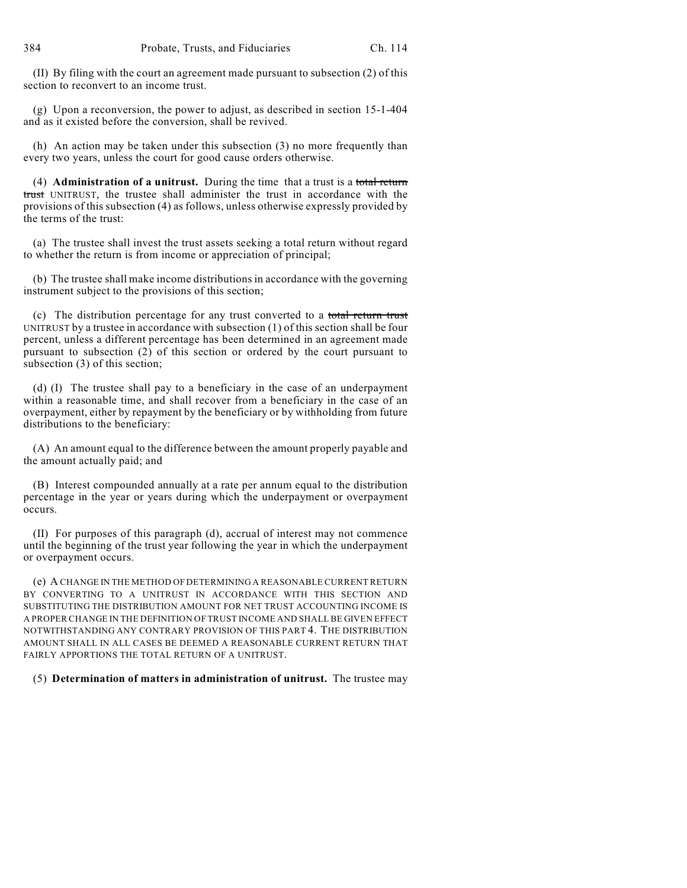(II) By filing with the court an agreement made pursuant to subsection (2) of this section to reconvert to an income trust.

(g) Upon a reconversion, the power to adjust, as described in section 15-1-404 and as it existed before the conversion, shall be revived.

(h) An action may be taken under this subsection (3) no more frequently than every two years, unless the court for good cause orders otherwise.

(4) **Administration of a unitrust.** During the time that a trust is a total return trust UNITRUST, the trustee shall administer the trust in accordance with the provisions of this subsection (4) as follows, unless otherwise expressly provided by the terms of the trust:

(a) The trustee shall invest the trust assets seeking a total return without regard to whether the return is from income or appreciation of principal;

(b) The trustee shall make income distributions in accordance with the governing instrument subject to the provisions of this section;

(c) The distribution percentage for any trust converted to a total return trust UNITRUST by a trustee in accordance with subsection (1) of this section shall be four percent, unless a different percentage has been determined in an agreement made pursuant to subsection (2) of this section or ordered by the court pursuant to subsection (3) of this section;

(d) (I) The trustee shall pay to a beneficiary in the case of an underpayment within a reasonable time, and shall recover from a beneficiary in the case of an overpayment, either by repayment by the beneficiary or by withholding from future distributions to the beneficiary:

(A) An amount equal to the difference between the amount properly payable and the amount actually paid; and

(B) Interest compounded annually at a rate per annum equal to the distribution percentage in the year or years during which the underpayment or overpayment occurs.

(II) For purposes of this paragraph (d), accrual of interest may not commence until the beginning of the trust year following the year in which the underpayment or overpayment occurs.

(e) A CHANGE IN THE METHOD OF DETERMINING A REASONABLE CURRENT RETURN BY CONVERTING TO A UNITRUST IN ACCORDANCE WITH THIS SECTION AND SUBSTITUTING THE DISTRIBUTION AMOUNT FOR NET TRUST ACCOUNTING INCOME IS A PROPER CHANGE IN THE DEFINITION OF TRUST INCOME AND SHALL BE GIVEN EFFECT NOTWITHSTANDING ANY CONTRARY PROVISION OF THIS PART 4. THE DISTRIBUTION AMOUNT SHALL IN ALL CASES BE DEEMED A REASONABLE CURRENT RETURN THAT FAIRLY APPORTIONS THE TOTAL RETURN OF A UNITRUST.

(5) **Determination of matters in administration of unitrust.** The trustee may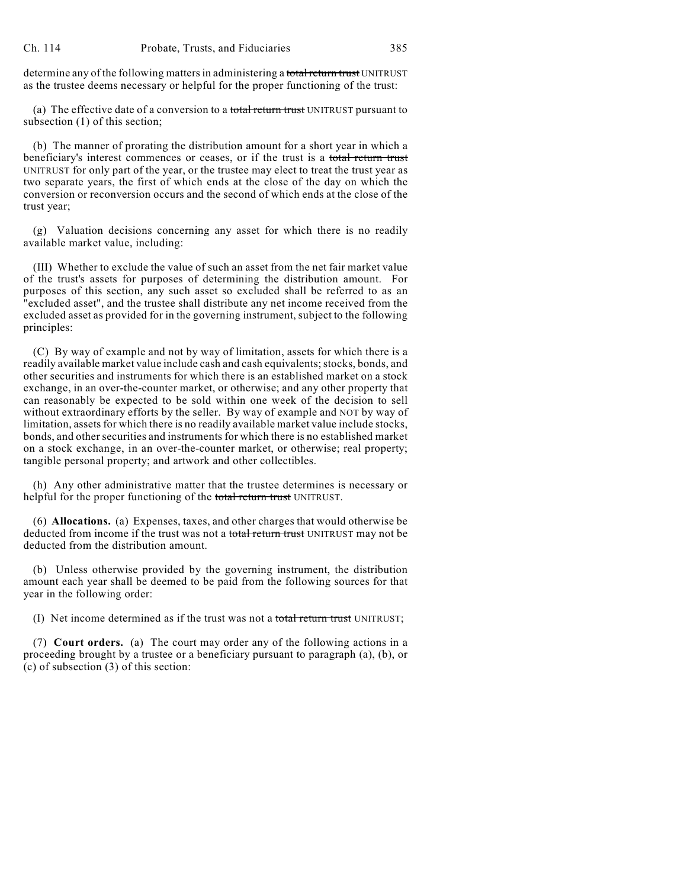determine any of the following matters in administering a total return trust UNITRUST as the trustee deems necessary or helpful for the proper functioning of the trust:

(a) The effective date of a conversion to a total return trust UNITRUST pursuant to subsection (1) of this section;

(b) The manner of prorating the distribution amount for a short year in which a beneficiary's interest commences or ceases, or if the trust is a total return trust UNITRUST for only part of the year, or the trustee may elect to treat the trust year as two separate years, the first of which ends at the close of the day on which the conversion or reconversion occurs and the second of which ends at the close of the trust year;

(g) Valuation decisions concerning any asset for which there is no readily available market value, including:

(III) Whether to exclude the value of such an asset from the net fair market value of the trust's assets for purposes of determining the distribution amount. For purposes of this section, any such asset so excluded shall be referred to as an "excluded asset", and the trustee shall distribute any net income received from the excluded asset as provided for in the governing instrument, subject to the following principles:

(C) By way of example and not by way of limitation, assets for which there is a readily available market value include cash and cash equivalents; stocks, bonds, and other securities and instruments for which there is an established market on a stock exchange, in an over-the-counter market, or otherwise; and any other property that can reasonably be expected to be sold within one week of the decision to sell without extraordinary efforts by the seller. By way of example and NOT by way of limitation, assets for which there is no readily available market value include stocks, bonds, and other securities and instruments for which there is no established market on a stock exchange, in an over-the-counter market, or otherwise; real property; tangible personal property; and artwork and other collectibles.

(h) Any other administrative matter that the trustee determines is necessary or helpful for the proper functioning of the total return trust UNITRUST.

(6) **Allocations.** (a) Expenses, taxes, and other charges that would otherwise be deducted from income if the trust was not a total return trust UNITRUST may not be deducted from the distribution amount.

(b) Unless otherwise provided by the governing instrument, the distribution amount each year shall be deemed to be paid from the following sources for that year in the following order:

(I) Net income determined as if the trust was not a total return trust UNITRUST;

(7) **Court orders.** (a) The court may order any of the following actions in a proceeding brought by a trustee or a beneficiary pursuant to paragraph (a), (b), or (c) of subsection (3) of this section: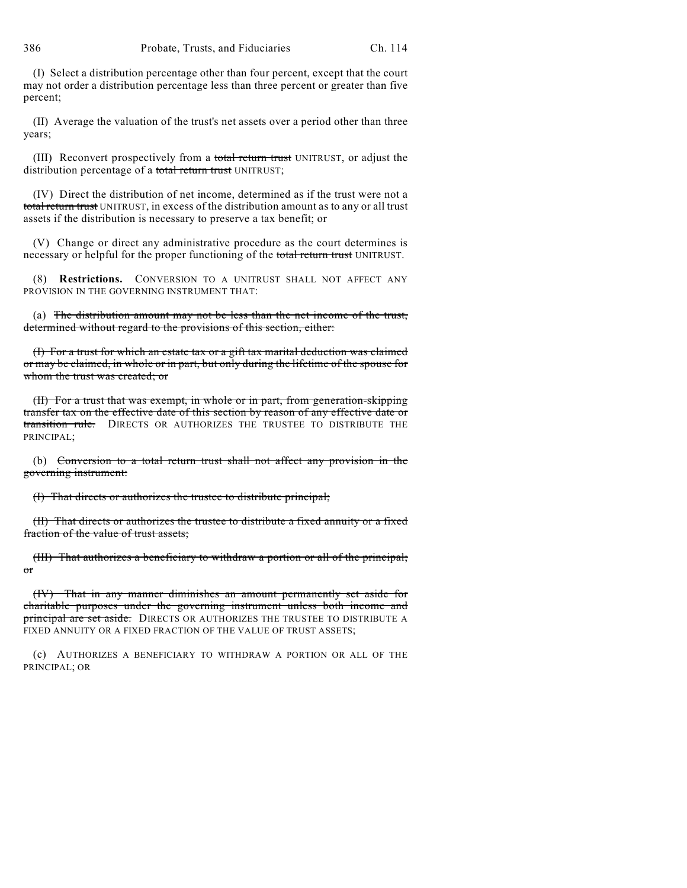(I) Select a distribution percentage other than four percent, except that the court may not order a distribution percentage less than three percent or greater than five percent;

(II) Average the valuation of the trust's net assets over a period other than three years;

(III) Reconvert prospectively from a total return trust UNITRUST, or adjust the distribution percentage of a total return trust UNITRUST;

(IV) Direct the distribution of net income, determined as if the trust were not a total return trust UNITRUST, in excess of the distribution amount as to any or all trust assets if the distribution is necessary to preserve a tax benefit; or

(V) Change or direct any administrative procedure as the court determines is necessary or helpful for the proper functioning of the total return trust UNITRUST.

(8) **Restrictions.** CONVERSION TO A UNITRUST SHALL NOT AFFECT ANY PROVISION IN THE GOVERNING INSTRUMENT THAT:

(a) The distribution amount may not be less than the net income of the trust, determined without regard to the provisions of this section, either:

(I) For a trust for which an estate tax or a gift tax marital deduction was claimed or may be claimed, in whole or in part, but only during the lifetime of the spouse for whom the trust was created; or

(II) For a trust that was exempt, in whole or in part, from generation-skipping transfer tax on the effective date of this section by reason of any effective date or transition rule. DIRECTS OR AUTHORIZES THE TRUSTEE TO DISTRIBUTE THE PRINCIPAL;

(b) Conversion to a total return trust shall not affect any provision in the governing instrument:

(I) That directs or authorizes the trustee to distribute principal;

(II) That directs or authorizes the trustee to distribute a fixed annuity or a fixed fraction of the value of trust assets;

(III) That authorizes a beneficiary to withdraw a portion or all of the principal; or

(IV) That in any manner diminishes an amount permanently set aside for charitable purposes under the governing instrument unless both income and principal are set aside. DIRECTS OR AUTHORIZES THE TRUSTEE TO DISTRIBUTE A FIXED ANNUITY OR A FIXED FRACTION OF THE VALUE OF TRUST ASSETS;

(c) AUTHORIZES A BENEFICIARY TO WITHDRAW A PORTION OR ALL OF THE PRINCIPAL; OR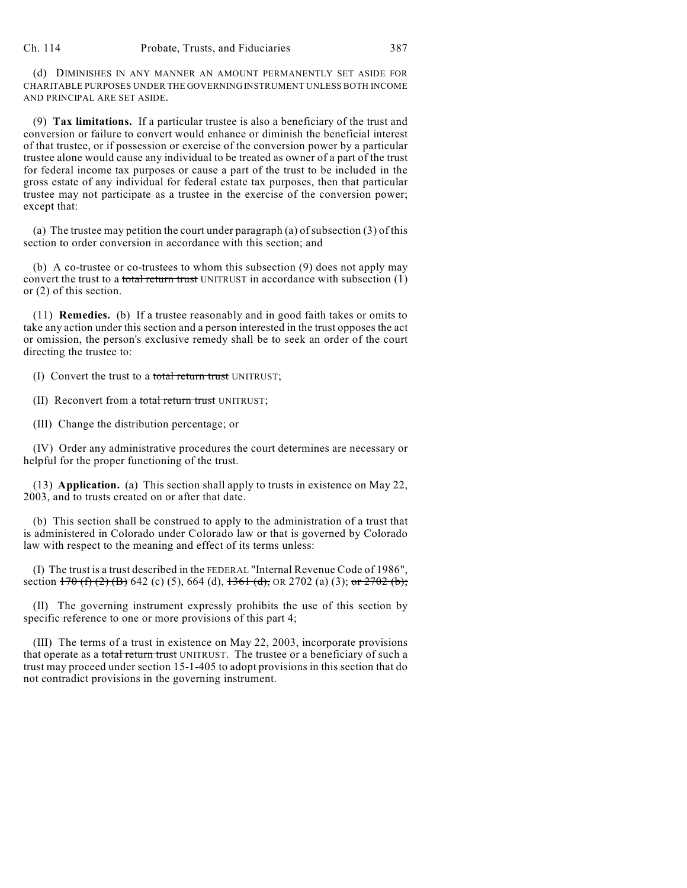(d) DIMINISHES IN ANY MANNER AN AMOUNT PERMANENTLY SET ASIDE FOR CHARITABLE PURPOSES UNDER THE GOVERNING INSTRUMENT UNLESS BOTH INCOME AND PRINCIPAL ARE SET ASIDE.

(9) **Tax limitations.** If a particular trustee is also a beneficiary of the trust and conversion or failure to convert would enhance or diminish the beneficial interest of that trustee, or if possession or exercise of the conversion power by a particular trustee alone would cause any individual to be treated as owner of a part of the trust for federal income tax purposes or cause a part of the trust to be included in the gross estate of any individual for federal estate tax purposes, then that particular trustee may not participate as a trustee in the exercise of the conversion power; except that:

(a) The trustee may petition the court under paragraph (a) of subsection (3) of this section to order conversion in accordance with this section; and

(b) A co-trustee or co-trustees to whom this subsection (9) does not apply may convert the trust to a total return trust UNITRUST in accordance with subsection (1) or (2) of this section.

(11) **Remedies.** (b) If a trustee reasonably and in good faith takes or omits to take any action under this section and a person interested in the trust opposes the act or omission, the person's exclusive remedy shall be to seek an order of the court directing the trustee to:

(I) Convert the trust to a total return trust UNITRUST;

(II) Reconvert from a total return trust UNITRUST;

(III) Change the distribution percentage; or

(IV) Order any administrative procedures the court determines are necessary or helpful for the proper functioning of the trust.

(13) **Application.** (a) This section shall apply to trusts in existence on May 22, 2003, and to trusts created on or after that date.

(b) This section shall be construed to apply to the administration of a trust that is administered in Colorado under Colorado law or that is governed by Colorado law with respect to the meaning and effect of its terms unless:

(I) The trust is a trust described in the FEDERAL "Internal Revenue Code of 1986", section  $170$  (f) (2) (B) 642 (c) (5), 664 (d),  $1361$  (d), OR 2702 (a) (3); or 2702 (b);

(II) The governing instrument expressly prohibits the use of this section by specific reference to one or more provisions of this part 4;

(III) The terms of a trust in existence on May 22, 2003, incorporate provisions that operate as a total return trust UNITRUST. The trustee or a beneficiary of such a trust may proceed under section 15-1-405 to adopt provisions in this section that do not contradict provisions in the governing instrument.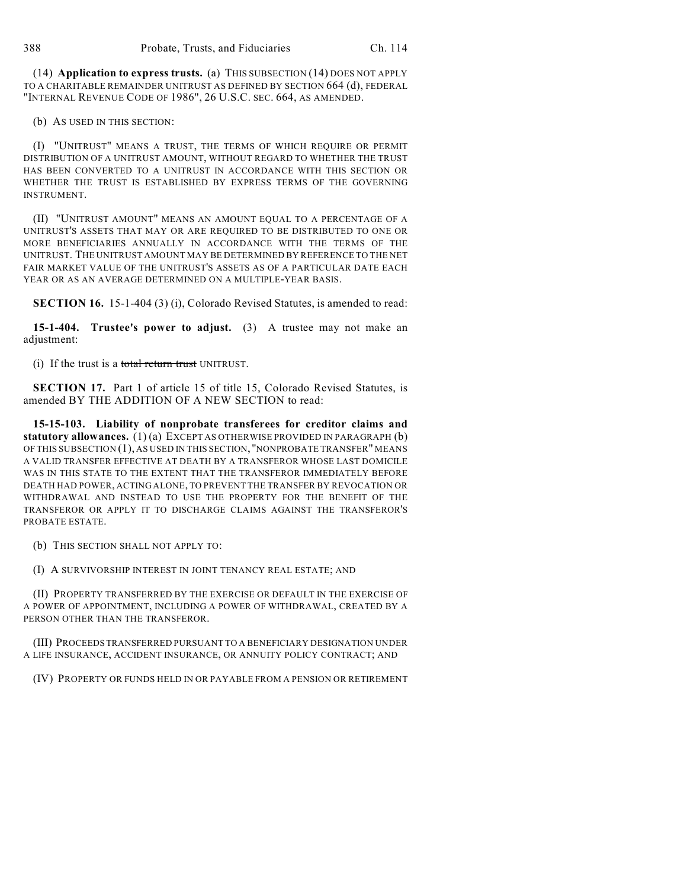(14) **Application to express trusts.** (a) THIS SUBSECTION (14) DOES NOT APPLY TO A CHARITABLE REMAINDER UNITRUST AS DEFINED BY SECTION 664 (d), FEDERAL "INTERNAL REVENUE CODE OF 1986", 26 U.S.C. SEC. 664, AS AMENDED.

(b) AS USED IN THIS SECTION:

(I) "UNITRUST" MEANS A TRUST, THE TERMS OF WHICH REQUIRE OR PERMIT DISTRIBUTION OF A UNITRUST AMOUNT, WITHOUT REGARD TO WHETHER THE TRUST HAS BEEN CONVERTED TO A UNITRUST IN ACCORDANCE WITH THIS SECTION OR WHETHER THE TRUST IS ESTABLISHED BY EXPRESS TERMS OF THE GOVERNING INSTRUMENT.

(II) "UNITRUST AMOUNT" MEANS AN AMOUNT EQUAL TO A PERCENTAGE OF A UNITRUST'S ASSETS THAT MAY OR ARE REQUIRED TO BE DISTRIBUTED TO ONE OR MORE BENEFICIARIES ANNUALLY IN ACCORDANCE WITH THE TERMS OF THE UNITRUST. THE UNITRUST AMOUNT MAY BE DETERMINED BY REFERENCE TO THE NET FAIR MARKET VALUE OF THE UNITRUST'S ASSETS AS OF A PARTICULAR DATE EACH YEAR OR AS AN AVERAGE DETERMINED ON A MULTIPLE-YEAR BASIS.

**SECTION 16.** 15-1-404 (3) (i), Colorado Revised Statutes, is amended to read:

**15-1-404. Trustee's power to adjust.** (3) A trustee may not make an adjustment:

(i) If the trust is a total return trust UNITRUST.

**SECTION 17.** Part 1 of article 15 of title 15, Colorado Revised Statutes, is amended BY THE ADDITION OF A NEW SECTION to read:

**15-15-103. Liability of nonprobate transferees for creditor claims and statutory allowances.** (1) (a) EXCEPT AS OTHERWISE PROVIDED IN PARAGRAPH (b) OF THIS SUBSECTION (1), AS USED IN THIS SECTION, "NONPROBATE TRANSFER" MEANS A VALID TRANSFER EFFECTIVE AT DEATH BY A TRANSFEROR WHOSE LAST DOMICILE WAS IN THIS STATE TO THE EXTENT THAT THE TRANSFEROR IMMEDIATELY BEFORE DEATH HAD POWER, ACTING ALONE, TO PREVENT THE TRANSFER BY REVOCATION OR WITHDRAWAL AND INSTEAD TO USE THE PROPERTY FOR THE BENEFIT OF THE TRANSFEROR OR APPLY IT TO DISCHARGE CLAIMS AGAINST THE TRANSFEROR'S PROBATE ESTATE.

(b) THIS SECTION SHALL NOT APPLY TO:

(I) A SURVIVORSHIP INTEREST IN JOINT TENANCY REAL ESTATE; AND

(II) PROPERTY TRANSFERRED BY THE EXERCISE OR DEFAULT IN THE EXERCISE OF A POWER OF APPOINTMENT, INCLUDING A POWER OF WITHDRAWAL, CREATED BY A PERSON OTHER THAN THE TRANSFEROR.

(III) PROCEEDS TRANSFERRED PURSUANT TO A BENEFICIARY DESIGNATION UNDER A LIFE INSURANCE, ACCIDENT INSURANCE, OR ANNUITY POLICY CONTRACT; AND

(IV) PROPERTY OR FUNDS HELD IN OR PAYABLE FROM A PENSION OR RETIREMENT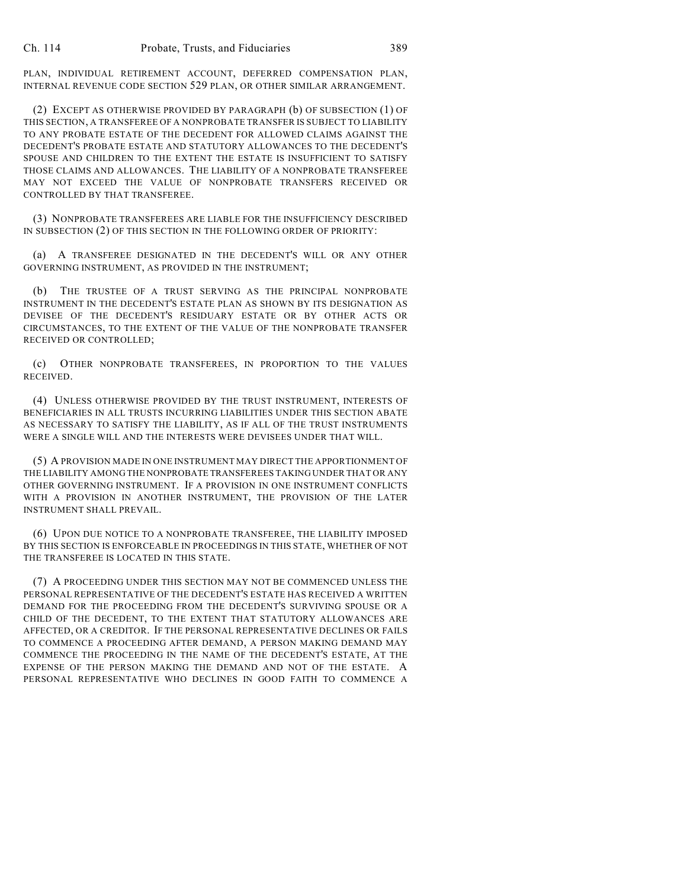PLAN, INDIVIDUAL RETIREMENT ACCOUNT, DEFERRED COMPENSATION PLAN, INTERNAL REVENUE CODE SECTION 529 PLAN, OR OTHER SIMILAR ARRANGEMENT.

(2) EXCEPT AS OTHERWISE PROVIDED BY PARAGRAPH (b) OF SUBSECTION (1) OF THIS SECTION, A TRANSFEREE OF A NONPROBATE TRANSFER IS SUBJECT TO LIABILITY TO ANY PROBATE ESTATE OF THE DECEDENT FOR ALLOWED CLAIMS AGAINST THE DECEDENT'S PROBATE ESTATE AND STATUTORY ALLOWANCES TO THE DECEDENT'S SPOUSE AND CHILDREN TO THE EXTENT THE ESTATE IS INSUFFICIENT TO SATISFY THOSE CLAIMS AND ALLOWANCES. THE LIABILITY OF A NONPROBATE TRANSFEREE MAY NOT EXCEED THE VALUE OF NONPROBATE TRANSFERS RECEIVED OR CONTROLLED BY THAT TRANSFEREE.

(3) NONPROBATE TRANSFEREES ARE LIABLE FOR THE INSUFFICIENCY DESCRIBED IN SUBSECTION (2) OF THIS SECTION IN THE FOLLOWING ORDER OF PRIORITY:

(a) A TRANSFEREE DESIGNATED IN THE DECEDENT'S WILL OR ANY OTHER GOVERNING INSTRUMENT, AS PROVIDED IN THE INSTRUMENT;

(b) THE TRUSTEE OF A TRUST SERVING AS THE PRINCIPAL NONPROBATE INSTRUMENT IN THE DECEDENT'S ESTATE PLAN AS SHOWN BY ITS DESIGNATION AS DEVISEE OF THE DECEDENT'S RESIDUARY ESTATE OR BY OTHER ACTS OR CIRCUMSTANCES, TO THE EXTENT OF THE VALUE OF THE NONPROBATE TRANSFER RECEIVED OR CONTROLLED;

(c) OTHER NONPROBATE TRANSFEREES, IN PROPORTION TO THE VALUES RECEIVED.

(4) UNLESS OTHERWISE PROVIDED BY THE TRUST INSTRUMENT, INTERESTS OF BENEFICIARIES IN ALL TRUSTS INCURRING LIABILITIES UNDER THIS SECTION ABATE AS NECESSARY TO SATISFY THE LIABILITY, AS IF ALL OF THE TRUST INSTRUMENTS WERE A SINGLE WILL AND THE INTERESTS WERE DEVISEES UNDER THAT WILL.

(5) A PROVISION MADE IN ONE INSTRUMENT MAY DIRECT THE APPORTIONMENT OF THE LIABILITY AMONG THE NONPROBATE TRANSFEREES TAKING UNDER THAT OR ANY OTHER GOVERNING INSTRUMENT. IF A PROVISION IN ONE INSTRUMENT CONFLICTS WITH A PROVISION IN ANOTHER INSTRUMENT, THE PROVISION OF THE LATER INSTRUMENT SHALL PREVAIL.

(6) UPON DUE NOTICE TO A NONPROBATE TRANSFEREE, THE LIABILITY IMPOSED BY THIS SECTION IS ENFORCEABLE IN PROCEEDINGS IN THIS STATE, WHETHER OF NOT THE TRANSFEREE IS LOCATED IN THIS STATE.

(7) A PROCEEDING UNDER THIS SECTION MAY NOT BE COMMENCED UNLESS THE PERSONAL REPRESENTATIVE OF THE DECEDENT'S ESTATE HAS RECEIVED A WRITTEN DEMAND FOR THE PROCEEDING FROM THE DECEDENT'S SURVIVING SPOUSE OR A CHILD OF THE DECEDENT, TO THE EXTENT THAT STATUTORY ALLOWANCES ARE AFFECTED, OR A CREDITOR. IF THE PERSONAL REPRESENTATIVE DECLINES OR FAILS TO COMMENCE A PROCEEDING AFTER DEMAND, A PERSON MAKING DEMAND MAY COMMENCE THE PROCEEDING IN THE NAME OF THE DECEDENT'S ESTATE, AT THE EXPENSE OF THE PERSON MAKING THE DEMAND AND NOT OF THE ESTATE. A PERSONAL REPRESENTATIVE WHO DECLINES IN GOOD FAITH TO COMMENCE A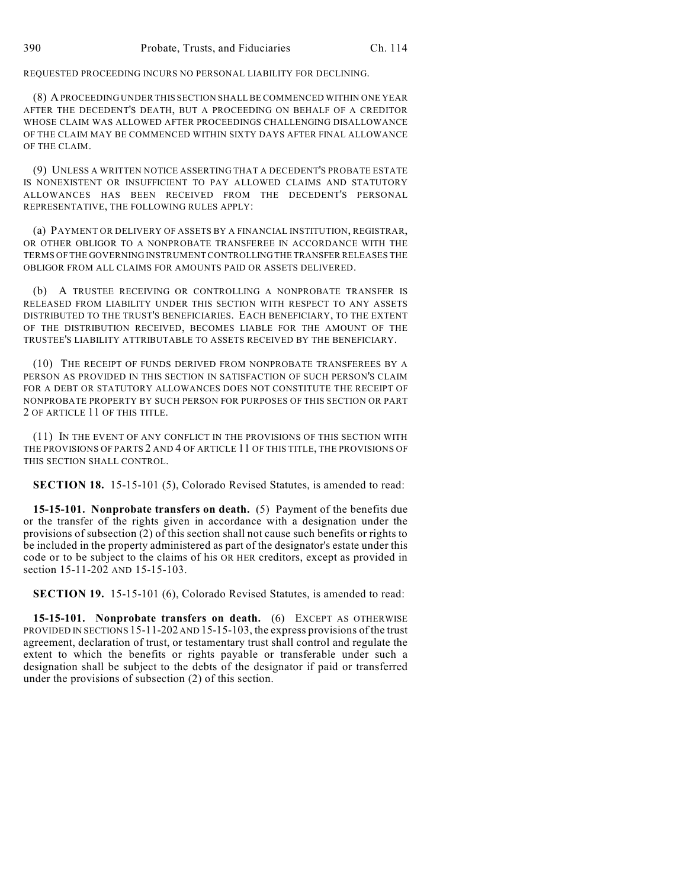REQUESTED PROCEEDING INCURS NO PERSONAL LIABILITY FOR DECLINING.

(8) A PROCEEDING UNDER THIS SECTION SHALL BE COMMENCED WITHIN ONE YEAR AFTER THE DECEDENT'S DEATH, BUT A PROCEEDING ON BEHALF OF A CREDITOR WHOSE CLAIM WAS ALLOWED AFTER PROCEEDINGS CHALLENGING DISALLOWANCE OF THE CLAIM MAY BE COMMENCED WITHIN SIXTY DAYS AFTER FINAL ALLOWANCE OF THE CLAIM.

(9) UNLESS A WRITTEN NOTICE ASSERTING THAT A DECEDENT'S PROBATE ESTATE IS NONEXISTENT OR INSUFFICIENT TO PAY ALLOWED CLAIMS AND STATUTORY ALLOWANCES HAS BEEN RECEIVED FROM THE DECEDENT'S PERSONAL REPRESENTATIVE, THE FOLLOWING RULES APPLY:

(a) PAYMENT OR DELIVERY OF ASSETS BY A FINANCIAL INSTITUTION, REGISTRAR, OR OTHER OBLIGOR TO A NONPROBATE TRANSFEREE IN ACCORDANCE WITH THE TERMS OF THE GOVERNING INSTRUMENT CONTROLLING THE TRANSFER RELEASES THE OBLIGOR FROM ALL CLAIMS FOR AMOUNTS PAID OR ASSETS DELIVERED.

(b) A TRUSTEE RECEIVING OR CONTROLLING A NONPROBATE TRANSFER IS RELEASED FROM LIABILITY UNDER THIS SECTION WITH RESPECT TO ANY ASSETS DISTRIBUTED TO THE TRUST'S BENEFICIARIES. EACH BENEFICIARY, TO THE EXTENT OF THE DISTRIBUTION RECEIVED, BECOMES LIABLE FOR THE AMOUNT OF THE TRUSTEE'S LIABILITY ATTRIBUTABLE TO ASSETS RECEIVED BY THE BENEFICIARY.

(10) THE RECEIPT OF FUNDS DERIVED FROM NONPROBATE TRANSFEREES BY A PERSON AS PROVIDED IN THIS SECTION IN SATISFACTION OF SUCH PERSON'S CLAIM FOR A DEBT OR STATUTORY ALLOWANCES DOES NOT CONSTITUTE THE RECEIPT OF NONPROBATE PROPERTY BY SUCH PERSON FOR PURPOSES OF THIS SECTION OR PART 2 OF ARTICLE 11 OF THIS TITLE.

(11) IN THE EVENT OF ANY CONFLICT IN THE PROVISIONS OF THIS SECTION WITH THE PROVISIONS OF PARTS 2 AND 4 OF ARTICLE 11 OF THIS TITLE, THE PROVISIONS OF THIS SECTION SHALL CONTROL.

**SECTION 18.** 15-15-101 (5), Colorado Revised Statutes, is amended to read:

**15-15-101. Nonprobate transfers on death.** (5) Payment of the benefits due or the transfer of the rights given in accordance with a designation under the provisions of subsection (2) of this section shall not cause such benefits or rights to be included in the property administered as part of the designator's estate under this code or to be subject to the claims of his OR HER creditors, except as provided in section 15-11-202 AND 15-15-103.

**SECTION 19.** 15-15-101 (6), Colorado Revised Statutes, is amended to read:

**15-15-101. Nonprobate transfers on death.** (6) EXCEPT AS OTHERWISE PROVIDED IN SECTIONS 15-11-202 AND 15-15-103, the express provisions of the trust agreement, declaration of trust, or testamentary trust shall control and regulate the extent to which the benefits or rights payable or transferable under such a designation shall be subject to the debts of the designator if paid or transferred under the provisions of subsection (2) of this section.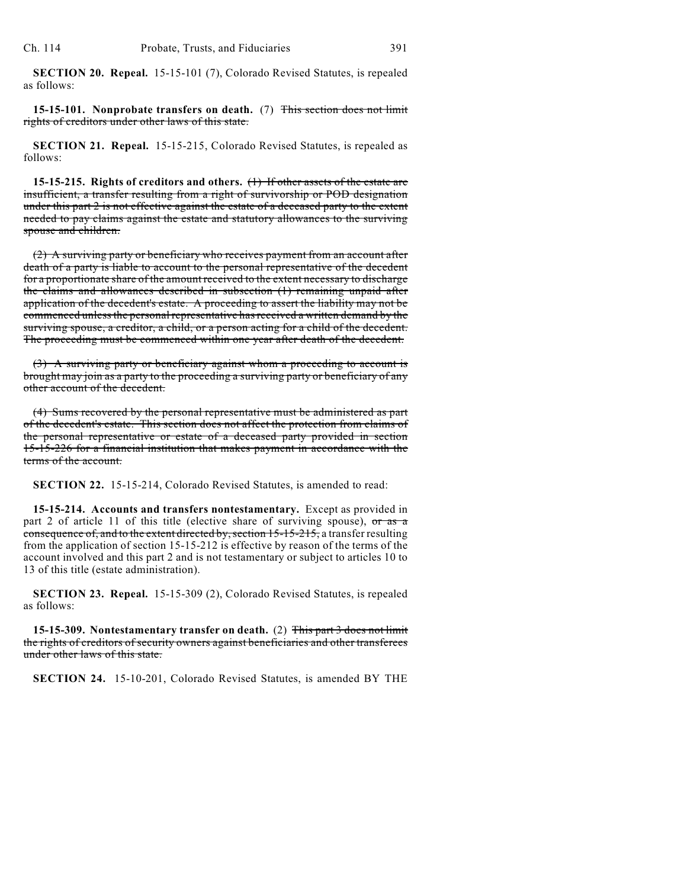**SECTION 20. Repeal.** 15-15-101 (7), Colorado Revised Statutes, is repealed as follows:

**15-15-101. Nonprobate transfers on death.** (7) This section does not limit rights of creditors under other laws of this state.

**SECTION 21. Repeal.** 15-15-215, Colorado Revised Statutes, is repealed as follows:

**15-15-215. Rights of creditors and others.** (1) If other assets of the estate are insufficient, a transfer resulting from a right of survivorship or POD designation under this part 2 is not effective against the estate of a deceased party to the extent needed to pay claims against the estate and statutory allowances to the surviving spouse and children.

(2) A surviving party or beneficiary who receives payment from an account after death of a party is liable to account to the personal representative of the decedent for a proportionate share of the amount received to the extent necessary to discharge the claims and allowances described in subsection (1) remaining unpaid after application of the decedent's estate. A proceeding to assert the liability may not be commenced unless the personal representative hasreceived a written demand by the surviving spouse, a creditor, a child, or a person acting for a child of the decedent. The proceeding must be commenced within one year after death of the decedent.

(3) A surviving party or beneficiary against whom a proceeding to account is brought may join as a party to the proceeding a surviving party or beneficiary of any other account of the decedent.

(4) Sums recovered by the personal representative must be administered as part of the decedent's estate. This section does not affect the protection from claims of the personal representative or estate of a deceased party provided in section 15-15-226 for a financial institution that makes payment in accordance with the terms of the account.

**SECTION 22.** 15-15-214, Colorado Revised Statutes, is amended to read:

**15-15-214. Accounts and transfers nontestamentary.** Except as provided in part 2 of article 11 of this title (elective share of surviving spouse), or as a consequence of, and to the extent directed by, section 15-15-215, a transfer resulting from the application of section 15-15-212 is effective by reason of the terms of the account involved and this part 2 and is not testamentary or subject to articles 10 to 13 of this title (estate administration).

**SECTION 23. Repeal.** 15-15-309 (2), Colorado Revised Statutes, is repealed as follows:

**15-15-309. Nontestamentary transfer on death.** (2) This part 3 does not limit the rights of creditors of security owners against beneficiaries and other transferees under other laws of this state.

**SECTION 24.** 15-10-201, Colorado Revised Statutes, is amended BY THE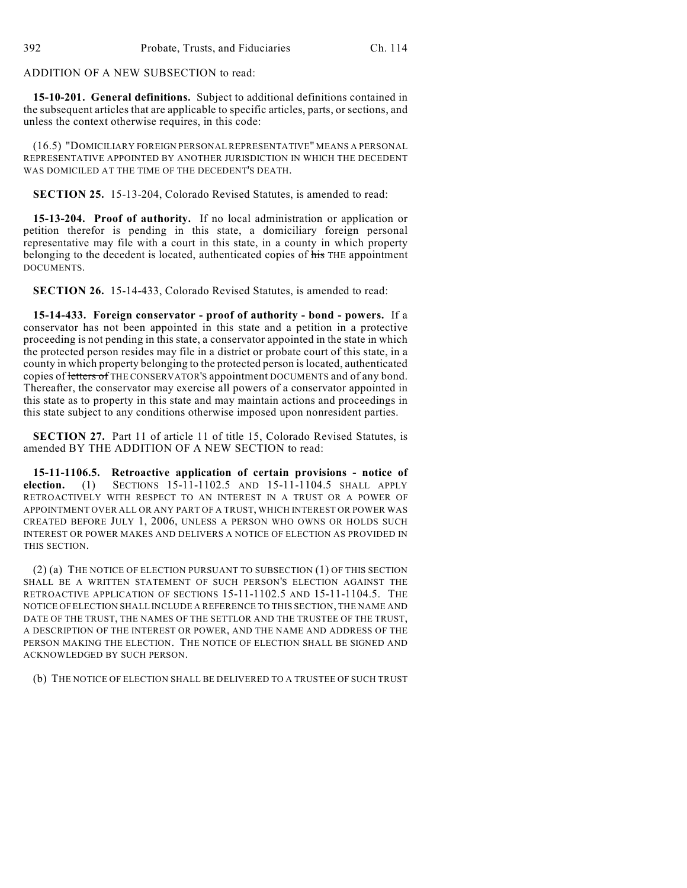ADDITION OF A NEW SUBSECTION to read:

**15-10-201. General definitions.** Subject to additional definitions contained in the subsequent articles that are applicable to specific articles, parts, or sections, and unless the context otherwise requires, in this code:

(16.5) "DOMICILIARY FOREIGN PERSONAL REPRESENTATIVE" MEANS A PERSONAL REPRESENTATIVE APPOINTED BY ANOTHER JURISDICTION IN WHICH THE DECEDENT WAS DOMICILED AT THE TIME OF THE DECEDENT'S DEATH.

**SECTION 25.** 15-13-204, Colorado Revised Statutes, is amended to read:

**15-13-204. Proof of authority.** If no local administration or application or petition therefor is pending in this state, a domiciliary foreign personal representative may file with a court in this state, in a county in which property belonging to the decedent is located, authenticated copies of his THE appointment DOCUMENTS.

**SECTION 26.** 15-14-433, Colorado Revised Statutes, is amended to read:

**15-14-433. Foreign conservator - proof of authority - bond - powers.** If a conservator has not been appointed in this state and a petition in a protective proceeding is not pending in this state, a conservator appointed in the state in which the protected person resides may file in a district or probate court of this state, in a county in which property belonging to the protected person is located, authenticated copies of letters of THE CONSERVATOR'S appointment DOCUMENTS and of any bond. Thereafter, the conservator may exercise all powers of a conservator appointed in this state as to property in this state and may maintain actions and proceedings in this state subject to any conditions otherwise imposed upon nonresident parties.

**SECTION 27.** Part 11 of article 11 of title 15, Colorado Revised Statutes, is amended BY THE ADDITION OF A NEW SECTION to read:

**15-11-1106.5. Retroactive application of certain provisions - notice of election.** (1) SECTIONS 15-11-1102.5 AND 15-11-1104.5 SHALL APPLY RETROACTIVELY WITH RESPECT TO AN INTEREST IN A TRUST OR A POWER OF APPOINTMENT OVER ALL OR ANY PART OF A TRUST, WHICH INTEREST OR POWER WAS CREATED BEFORE JULY 1, 2006, UNLESS A PERSON WHO OWNS OR HOLDS SUCH INTEREST OR POWER MAKES AND DELIVERS A NOTICE OF ELECTION AS PROVIDED IN THIS SECTION.

(2) (a) THE NOTICE OF ELECTION PURSUANT TO SUBSECTION (1) OF THIS SECTION SHALL BE A WRITTEN STATEMENT OF SUCH PERSON'S ELECTION AGAINST THE RETROACTIVE APPLICATION OF SECTIONS 15-11-1102.5 AND 15-11-1104.5. THE NOTICE OFELECTION SHALL INCLUDE A REFERENCE TO THIS SECTION, THE NAME AND DATE OF THE TRUST, THE NAMES OF THE SETTLOR AND THE TRUSTEE OF THE TRUST, A DESCRIPTION OF THE INTEREST OR POWER, AND THE NAME AND ADDRESS OF THE PERSON MAKING THE ELECTION. THE NOTICE OF ELECTION SHALL BE SIGNED AND ACKNOWLEDGED BY SUCH PERSON.

(b) THE NOTICE OF ELECTION SHALL BE DELIVERED TO A TRUSTEE OF SUCH TRUST